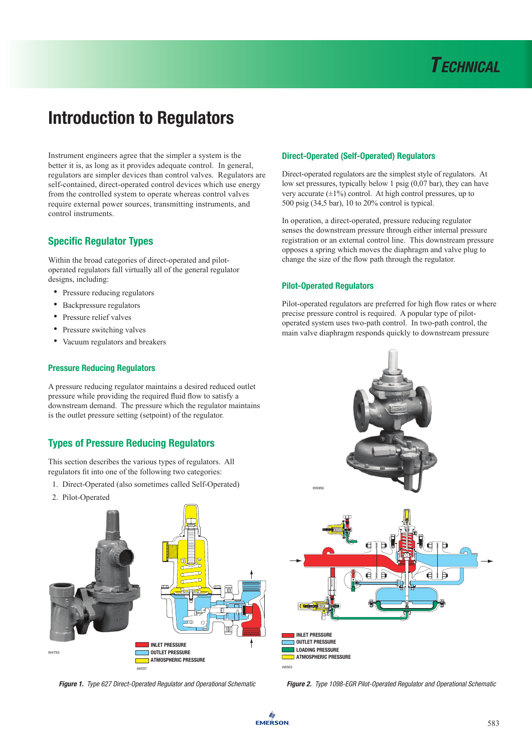Instrument engineers agree that the simpler a system is the better it is, as long as it provides adequate control. In general, regulators are simpler devices than control valves. Regulators are self-contained, direct-operated control devices which use energy from the controlled system to operate whereas control valves require external power sources, transmitting instruments, and control instruments.

## Specific Regulator Types

Within the broad categories of direct-operated and pilotoperated regulators fall virtually all of the general regulator designs, including:

- Pressure reducing regulators
- Backpressure regulators
- Pressure relief valves
- Pressure switching valves
- Vacuum regulators and breakers

#### Pressure Reducing Regulators

A pressure reducing regulator maintains a desired reduced outlet pressure while providing the required fluid flow to satisfy a downstream demand. The pressure which the regulator maintains is the outlet pressure setting (setpoint) of the regulator.

## Types of Pressure Reducing Regulators

This section describes the various types of regulators. All regulators fit into one of the following two categories:

- 1. Direct-Operated (also sometimes called Self-Operated)
- 2. Pilot-Operated



#### Direct-Operated (Self-Operated) Regulators

Direct-operated regulators are the simplest style of regulators. At low set pressures, typically below 1 psig (0,07 bar), they can have very accurate  $(\pm 1\%)$  control. At high control pressures, up to 500 psig (34,5 bar), 10 to 20% control is typical.

In operation, a direct-operated, pressure reducing regulator senses the downstream pressure through either internal pressure registration or an external control line. This downstream pressure opposes a spring which moves the diaphragm and valve plug to change the size of the flow path through the regulator.

#### Pilot-Operated Regulators

Pilot-operated regulators are preferred for high flow rates or where precise pressure control is required. A popular type of pilotoperated system uses two-path control. In two-path control, the main valve diaphragm responds quickly to downstream pressure



*Figure 1. Type 627 Direct-Operated Regulator and Operational Schematic Figure 2. Type 1098-EGR Pilot-Operated Regulator and Operational Schematic*

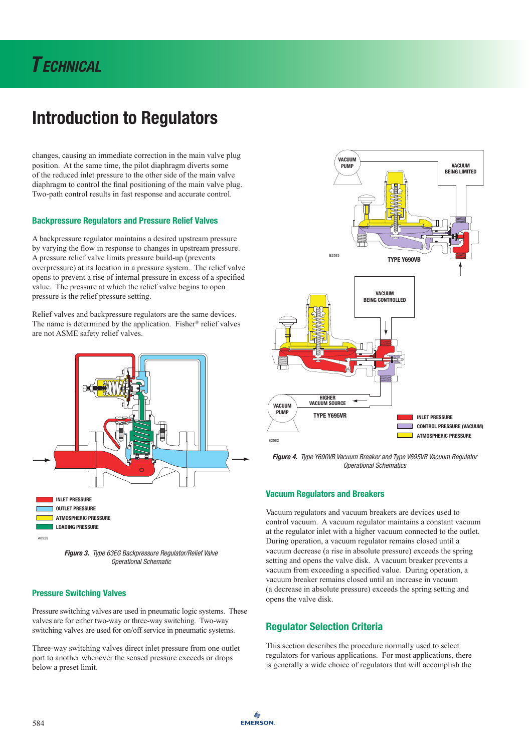# *T echnical*

# Introduction to Regulators

changes, causing an immediate correction in the main valve plug position. At the same time, the pilot diaphragm diverts some of the reduced inlet pressure to the other side of the main valve diaphragm to control the final positioning of the main valve plug. Two-path control results in fast response and accurate control.

#### Backpressure Regulators and Pressure Relief Valves

A backpressure regulator maintains a desired upstream pressure by varying the flow in response to changes in upstream pressure. A pressure relief valve limits pressure build-up (prevents overpressure) at its location in a pressure system. The relief valve opens to prevent a rise of internal pressure in excess of a specified value. The pressure at which the relief valve begins to open pressure is the relief pressure setting.

Relief valves and backpressure regulators are the same devices. The name is determined by the application. Fisher® relief valves are not ASME safety relief valves.



*Figure 3. Type 63EG Backpressure Regulator/Relief Valve Operational Schematic*

#### Pressure Switching Valves

Pressure switching valves are used in pneumatic logic systems. These valves are for either two-way or three-way switching. Two-way switching valves are used for on/off service in pneumatic systems.

Three-way switching valves direct inlet pressure from one outlet port to another whenever the sensed pressure exceeds or drops below a preset limit.



*Figure 4. Type Y690VB Vacuum Breaker and Type V695VR Vacuum Regulator Operational Schematics*

#### Vacuum Regulators and Breakers

Vacuum regulators and vacuum breakers are devices used to control vacuum. A vacuum regulator maintains a constant vacuum at the regulator inlet with a higher vacuum connected to the outlet. During operation, a vacuum regulator remains closed until a vacuum decrease (a rise in absolute pressure) exceeds the spring setting and opens the valve disk. A vacuum breaker prevents a vacuum from exceeding a specified value. During operation, a vacuum breaker remains closed until an increase in vacuum (a decrease in absolute pressure) exceeds the spring setting and opens the valve disk.

## Regulator Selection Criteria

This section describes the procedure normally used to select regulators for various applications. For most applications, there is generally a wide choice of regulators that will accomplish the

۸ **EMERSON**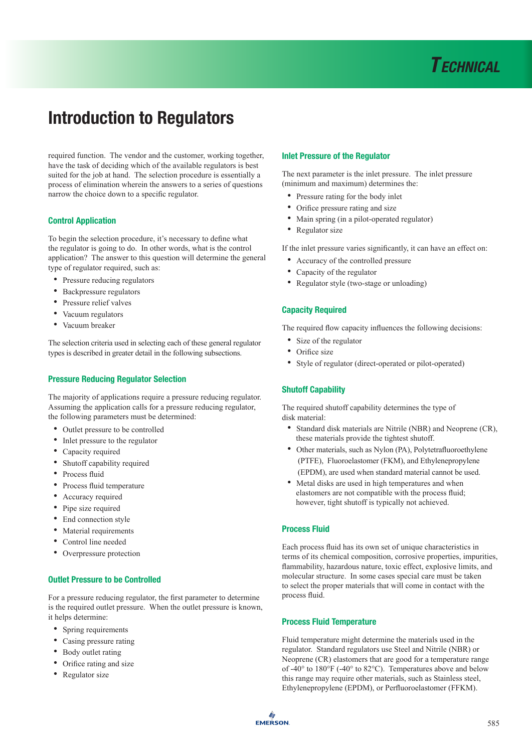

required function. The vendor and the customer, working together, have the task of deciding which of the available regulators is best suited for the job at hand. The selection procedure is essentially a process of elimination wherein the answers to a series of questions narrow the choice down to a specific regulator.

#### Control Application

To begin the selection procedure, it's necessary to define what the regulator is going to do. In other words, what is the control application? The answer to this question will determine the general type of regulator required, such as:

- Pressure reducing regulators
- Backpressure regulators
- Pressure relief valves
- Vacuum regulators
- Vacuum breaker

The selection criteria used in selecting each of these general regulator types is described in greater detail in the following subsections.

#### Pressure Reducing Regulator Selection

The majority of applications require a pressure reducing regulator. Assuming the application calls for a pressure reducing regulator, the following parameters must be determined:

- Outlet pressure to be controlled
- Inlet pressure to the regulator
- Capacity required
- Shutoff capability required
- Process fluid
- Process fluid temperature
- Accuracy required
- Pipe size required
- End connection style
- Material requirements
- Control line needed
- Overpressure protection

#### Outlet Pressure to be Controlled

For a pressure reducing regulator, the first parameter to determine is the required outlet pressure. When the outlet pressure is known, it helps determine:

- Spring requirements
- Casing pressure rating
- Body outlet rating
- Orifice rating and size
- Regulator size

#### Inlet Pressure of the Regulator

The next parameter is the inlet pressure. The inlet pressure (minimum and maximum) determines the:

- Pressure rating for the body inlet
- Orifice pressure rating and size
- Main spring (in a pilot-operated regulator)
- Regulator size

If the inlet pressure varies significantly, it can have an effect on:

- Accuracy of the controlled pressure
- Capacity of the regulator
- Regulator style (two-stage or unloading)

#### Capacity Required

The required flow capacity influences the following decisions:

- Size of the regulator
- Orifice size
- Style of regulator (direct-operated or pilot-operated)

#### Shutoff Capability

The required shutoff capability determines the type of disk material:

- • Standard disk materials are Nitrile (NBR) and Neoprene (CR), these materials provide the tightest shutoff.
- • Other materials, such as Nylon (PA), Polytetrafluoroethylene (PTFE), Fluoroelastomer (FKM), and Ethylenepropylene (EPDM), are used when standard material cannot be used.
- • Metal disks are used in high temperatures and when elastomers are not compatible with the process fluid; however, tight shutoff is typically not achieved.

#### Process Fluid

Each process fluid has its own set of unique characteristics in terms of its chemical composition, corrosive properties, impurities, flammability, hazardous nature, toxic effect, explosive limits, and molecular structure. In some cases special care must be taken to select the proper materials that will come in contact with the process fluid.

#### Process Fluid Temperature

Fluid temperature might determine the materials used in the regulator. Standard regulators use Steel and Nitrile (NBR) or Neoprene (CR) elastomers that are good for a temperature range of -40° to 180°F (-40° to 82°C). Temperatures above and below this range may require other materials, such as Stainless steel, Ethylenepropylene (EPDM), or Perfluoroelastomer (FFKM).

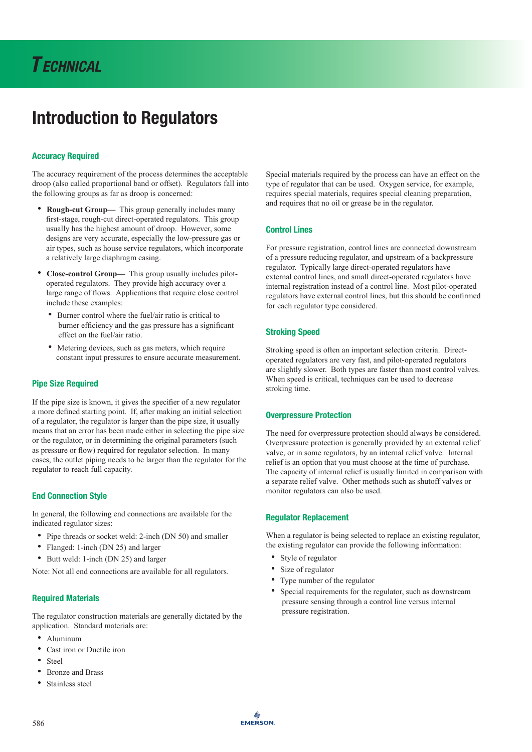### Accuracy Required

The accuracy requirement of the process determines the acceptable droop (also called proportional band or offset). Regulators fall into the following groups as far as droop is concerned:

- • **Rough-cut Group—** This group generally includes many first-stage, rough-cut direct-operated regulators. This group usually has the highest amount of droop. However, some designs are very accurate, especially the low-pressure gas or air types, such as house service regulators, which incorporate a relatively large diaphragm casing.
- • **Close-control Group—** This group usually includes pilot operated regulators. They provide high accuracy over a large range of flows. Applications that require close control include these examples:
	- Burner control where the fuel/air ratio is critical to burner efficiency and the gas pressure has a significant effect on the fuel/air ratio.
	- Metering devices, such as gas meters, which require constant input pressures to ensure accurate measurement.

#### Pipe Size Required

If the pipe size is known, it gives the specifier of a new regulator a more defined starting point. If, after making an initial selection of a regulator, the regulator is larger than the pipe size, it usually means that an error has been made either in selecting the pipe size or the regulator, or in determining the original parameters (such as pressure or flow) required for regulator selection. In many cases, the outlet piping needs to be larger than the regulator for the regulator to reach full capacity.

#### End Connection Style

In general, the following end connections are available for the indicated regulator sizes:

- Pipe threads or socket weld: 2-inch (DN 50) and smaller
- Flanged: 1-inch (DN 25) and larger
- Butt weld: 1-inch (DN 25) and larger

Note: Not all end connections are available for all regulators.

#### Required Materials

The regulator construction materials are generally dictated by the application. Standard materials are:

- Aluminum
- Cast iron or Ductile iron
- Steel
- Bronze and Brass
- Stainless steel

Special materials required by the process can have an effect on the type of regulator that can be used. Oxygen service, for example, requires special materials, requires special cleaning preparation, and requires that no oil or grease be in the regulator.

#### Control Lines

For pressure registration, control lines are connected downstream of a pressure reducing regulator, and upstream of a backpressure regulator. Typically large direct-operated regulators have external control lines, and small direct-operated regulators have internal registration instead of a control line. Most pilot-operated regulators have external control lines, but this should be confirmed for each regulator type considered.

#### Stroking Speed

Stroking speed is often an important selection criteria. Directoperated regulators are very fast, and pilot-operated regulators are slightly slower. Both types are faster than most control valves. When speed is critical, techniques can be used to decrease stroking time.

#### Overpressure Protection

The need for overpressure protection should always be considered. Overpressure protection is generally provided by an external relief valve, or in some regulators, by an internal relief valve. Internal relief is an option that you must choose at the time of purchase. The capacity of internal relief is usually limited in comparison with a separate relief valve. Other methods such as shutoff valves or monitor regulators can also be used.

#### Regulator Replacement

When a regulator is being selected to replace an existing regulator, the existing regulator can provide the following information:

- Style of regulator
- Size of regulator
- Type number of the regulator
- • Special requirements for the regulator, such as downstream pressure sensing through a control line versus internal pressure registration.